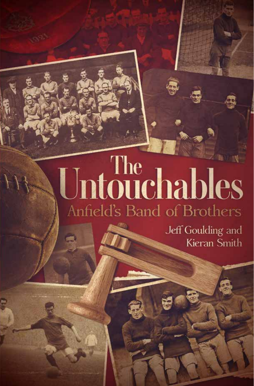# Untouchables Anfield's Band of Brothers

Jeff Goulding and Kieran Smith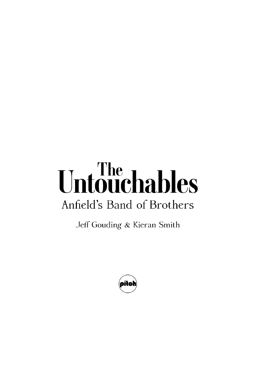## Untouchables Anfield's Band of Brothers

Jeff Gouding & Kieran Smith

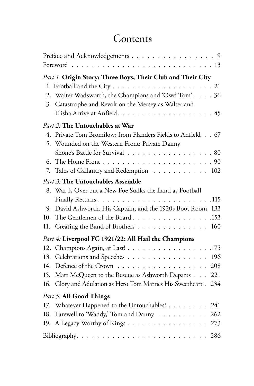#### **Contents**

| Preface and Acknowledgements 9                                                 |     |
|--------------------------------------------------------------------------------|-----|
|                                                                                |     |
| Part 1: Origin Story: Three Boys, Their Club and Their City                    |     |
| 1. Football and the City $\ldots \ldots \ldots \ldots \ldots \ldots \ldots 21$ |     |
| 2. Walter Wadsworth, the Champions and 'Owd Tom' 36                            |     |
| 3. Catastrophe and Revolt on the Mersey as Walter and                          |     |
|                                                                                |     |
| Part 2: The Untouchables at War                                                |     |
| 4. Private Tom Bromilow: from Flanders Fields to Anfield 67                    |     |
| 5. Wounded on the Western Front: Private Danny                                 |     |
| Shone's Battle for Survival 80                                                 |     |
|                                                                                |     |
| Tales of Gallantry and Redemption 102<br>7.                                    |     |
| Part 3: The Untouchables Assemble                                              |     |
| 8. War Is Over but a New Foe Stalks the Land as Football                       |     |
|                                                                                |     |
| David Ashworth, His Captain, and the 1920s Boot Room 133<br>9.                 |     |
| The Gentlemen of the Board153<br>10.                                           |     |
| Creating the Band of Brothers 160<br>11.                                       |     |
| Part 4: Liverpool FC 1921/22: All Hail the Champions                           |     |
| 12. Champions Again, at Last! 175                                              |     |
| Celebrations and Speeches 196<br>13.                                           |     |
| Defence of the Crown 208<br>14.                                                |     |
| Matt McQueen to the Rescue as Ashworth Departs 221<br>15.                      |     |
| Glory and Adulation as Hero Tom Marries His Sweetheart.<br>16.                 | 234 |
| Part 5: All Good Things                                                        |     |
| 17. Whatever Happened to the Untouchables? 241                                 |     |
| Farewell to 'Waddy,' Tom and Danny 262<br>18.                                  |     |
| A Legacy Worthy of Kings 273<br>19.                                            |     |
|                                                                                |     |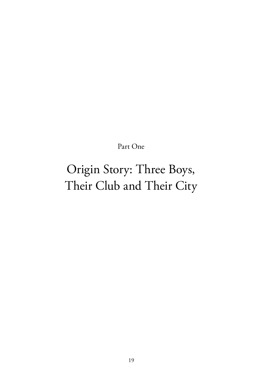Part One

### Origin Story: Three Boys, Their Club and Their City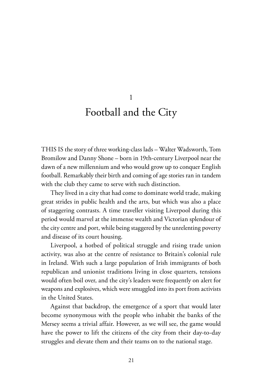Football and the City

1

THIS IS the story of three working-class lads – Walter Wadsworth, Tom Bromilow and Danny Shone – born in 19th-century Liverpool near the dawn of a new millennium and who would grow up to conquer English football. Remarkably their birth and coming of age stories ran in tandem with the club they came to serve with such distinction.

They lived in a city that had come to dominate world trade, making great strides in public health and the arts, but which was also a place of staggering contrasts. A time traveller visiting Liverpool during this period would marvel at the immense wealth and Victorian splendour of the city centre and port, while being staggered by the unrelenting poverty and disease of its court housing.

Liverpool, a hotbed of political struggle and rising trade union activity, was also at the centre of resistance to Britain's colonial rule in Ireland. With such a large population of Irish immigrants of both republican and unionist traditions living in close quarters, tensions would often boil over, and the city's leaders were frequently on alert for weapons and explosives, which were smuggled into its port from activists in the United States.

Against that backdrop, the emergence of a sport that would later become synonymous with the people who inhabit the banks of the Mersey seems a trivial affair. However, as we will see, the game would have the power to lift the citizens of the city from their day-to-day struggles and elevate them and their teams on to the national stage.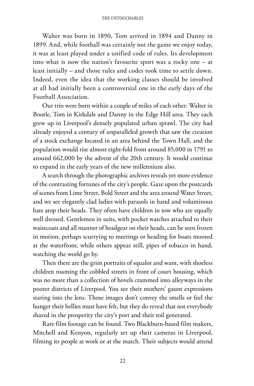Walter was born in 1890, Tom arrived in 1894 and Danny in 1899. And, while football was certainly not the game we enjoy today, it was at least played under a unified code of rules. Its development into what is now the nation's favourite sport was a rocky one – at least initially – and those rules and codes took time to settle down. Indeed, even the idea that the working classes should be involved at all had initially been a controversial one in the early days of the Football Association.

Our trio were born within a couple of miles of each other: Walter in Bootle, Tom in Kirkdale and Danny in the Edge Hill area. They each grew up in Liverpool's densely populated urban sprawl. The city had already enjoyed a century of unparalleled growth that saw the creation of a stock exchange located in an area behind the Town Hall, and the population would rise almost eight-fold from around 85,000 in 1791 to around 662,000 by the advent of the 20th century. It would continue to expand in the early years of the new millennium also.

A search through the photographic archives reveals yet more evidence of the contrasting fortunes of the city's people. Gaze upon the postcards of scenes from Lime Street, Bold Street and the area around Water Street, and we see elegantly clad ladies with parasols in hand and voluminous hats atop their heads. They often have children in tow who are equally well dressed. Gentlemen in suits, with pocket watches attached to their waistcoats and all manner of headgear on their heads, can be seen frozen in motion, perhaps scurrying to meetings or heading for boats moored at the waterfront, while others appear still, pipes of tobacco in hand, watching the world go by.

Then there are the grim portraits of squalor and want, with shoeless children roaming the cobbled streets in front of court housing, which was no more than a collection of hovels crammed into alleyways in the poorer districts of Liverpool. You see their mothers' gaunt expressions staring into the lens. Those images don't convey the smells or feel the hunger their bellies must have felt, but they do reveal that not everybody shared in the prosperity the city's port and their toil generated.

Rare film footage can be found. Two Blackburn-based film makers, Mitchell and Kenyon, regularly set up their cameras in Liverpool, filming its people at work or at the match. Their subjects would attend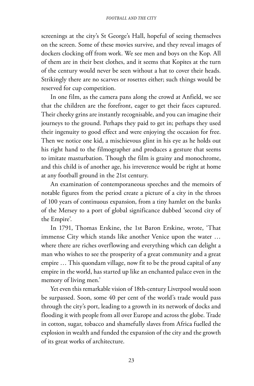screenings at the city's St George's Hall, hopeful of seeing themselves on the screen. Some of these movies survive, and they reveal images of dockers clocking off from work. We see men and boys on the Kop. All of them are in their best clothes, and it seems that Kopites at the turn of the century would never be seen without a hat to cover their heads. Strikingly there are no scarves or rosettes either; such things would be reserved for cup competition.

In one film, as the camera pans along the crowd at Anfield, we see that the children are the forefront, eager to get their faces captured. Their cheeky grins are instantly recognisable, and you can imagine their journeys to the ground. Perhaps they paid to get in; perhaps they used their ingenuity to good effect and were enjoying the occasion for free. Then we notice one kid, a mischievous glint in his eye as he holds out his right hand to the filmographer and produces a gesture that seems to imitate masturbation. Though the film is grainy and monochrome, and this child is of another age, his irreverence would be right at home at any football ground in the 21st century.

An examination of contemporaneous speeches and the memoirs of notable figures from the period create a picture of a city in the throes of 100 years of continuous expansion, from a tiny hamlet on the banks of the Mersey to a port of global significance dubbed 'second city of the Empire'.

In 1791, Thomas Erskine, the 1st Baron Erskine, wrote, 'That immense City which stands like another Venice upon the water … where there are riches overflowing and everything which can delight a man who wishes to see the prosperity of a great community and a great empire … This quondam village, now fit to be the proud capital of any empire in the world, has started up like an enchanted palace even in the memory of living men.'

Yet even this remarkable vision of 18th-century Liverpool would soon be surpassed. Soon, some 40 per cent of the world's trade would pass through the city's port, leading to a growth in its network of docks and flooding it with people from all over Europe and across the globe. Trade in cotton, sugar, tobacco and shamefully slaves from Africa fuelled the explosion in wealth and funded the expansion of the city and the growth of its great works of architecture.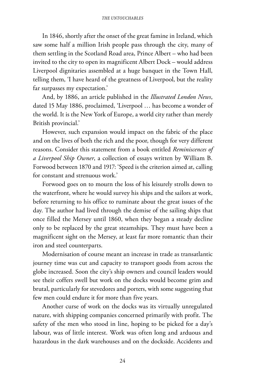#### *The Untouchables*

In 1846, shortly after the onset of the great famine in Ireland, which saw some half a million Irish people pass through the city, many of them settling in the Scotland Road area, Prince Albert – who had been invited to the city to open its magnificent Albert Dock – would address Liverpool dignitaries assembled at a huge banquet in the Town Hall, telling them, 'I have heard of the greatness of Liverpool, but the reality far surpasses my expectation.'

And, by 1886, an article published in the *Illustrated London News*, dated 15 May 1886, proclaimed, 'Liverpool … has become a wonder of the world. It is the New York of Europe, a world city rather than merely British provincial.'

However, such expansion would impact on the fabric of the place and on the lives of both the rich and the poor, though for very different reasons. Consider this statement from a book entitled *Reminiscences of a Liverpool Ship Owner*, a collection of essays written by William B. Forwood between 1870 and 1917: 'Speed is the criterion aimed at, calling for constant and strenuous work.'

Forwood goes on to mourn the loss of his leisurely strolls down to the waterfront, where he would survey his ships and the sailors at work, before returning to his office to ruminate about the great issues of the day. The author had lived through the demise of the sailing ships that once filled the Mersey until 1860, when they began a steady decline only to be replaced by the great steamships. They must have been a magnificent sight on the Mersey, at least far more romantic than their iron and steel counterparts.

Modernisation of course meant an increase in trade as transatlantic journey time was cut and capacity to transport goods from across the globe increased. Soon the city's ship owners and council leaders would see their coffers swell but work on the docks would become grim and brutal, particularly for stevedores and porters, with some suggesting that few men could endure it for more than five years.

Another curse of work on the docks was its virtually unregulated nature, with shipping companies concerned primarily with profit. The safety of the men who stood in line, hoping to be picked for a day's labour, was of little interest. Work was often long and arduous and hazardous in the dark warehouses and on the dockside. Accidents and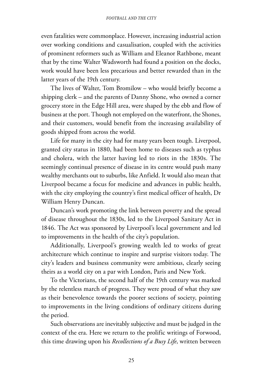even fatalities were commonplace. However, increasing industrial action over working conditions and casualisation, coupled with the activities of prominent reformers such as William and Eleanor Rathbone, meant that by the time Walter Wadsworth had found a position on the docks, work would have been less precarious and better rewarded than in the latter years of the 19th century.

The lives of Walter, Tom Bromilow – who would briefly become a shipping clerk – and the parents of Danny Shone, who owned a corner grocery store in the Edge Hill area, were shaped by the ebb and flow of business at the port. Though not employed on the waterfront, the Shones, and their customers, would benefit from the increasing availability of goods shipped from across the world.

Life for many in the city had for many years been tough. Liverpool, granted city status in 1880, had been home to diseases such as typhus and cholera, with the latter having led to riots in the 1830s. The seemingly continual presence of disease in its centre would push many wealthy merchants out to suburbs, like Anfield. It would also mean that Liverpool became a focus for medicine and advances in public health, with the city employing the country's first medical officer of health, Dr William Henry Duncan.

Duncan's work promoting the link between poverty and the spread of disease throughout the 1830s, led to the Liverpool Sanitary Act in 1846. The Act was sponsored by Liverpool's local government and led to improvements in the health of the city's population.

Additionally, Liverpool's growing wealth led to works of great architecture which continue to inspire and surprise visitors today. The city's leaders and business community were ambitious, clearly seeing theirs as a world city on a par with London, Paris and New York.

To the Victorians, the second half of the 19th century was marked by the relentless march of progress. They were proud of what they saw as their benevolence towards the poorer sections of society, pointing to improvements in the living conditions of ordinary citizens during the period.

Such observations are inevitably subjective and must be judged in the context of the era. Here we return to the prolific writings of Forwood, this time drawing upon his *Recollections of a Busy Life*, written between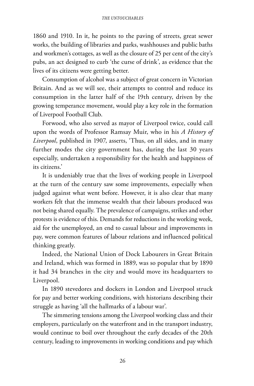1860 and 1910. In it, he points to the paving of streets, great sewer works, the building of libraries and parks, washhouses and public baths and workmen's cottages, as well as the closure of 25 per cent of the city's pubs, an act designed to curb 'the curse of drink', as evidence that the lives of its citizens were getting better.

Consumption of alcohol was a subject of great concern in Victorian Britain. And as we will see, their attempts to control and reduce its consumption in the latter half of the 19th century, driven by the growing temperance movement, would play a key role in the formation of Liverpool Football Club.

Forwood, who also served as mayor of Liverpool twice, could call upon the words of Professor Ramsay Muir, who in his *A History of Liverpool*, published in 1907, asserts, 'Thus, on all sides, and in many further modes the city government has, during the last 30 years especially, undertaken a responsibility for the health and happiness of its citizens.'

It is undeniably true that the lives of working people in Liverpool at the turn of the century saw some improvements, especially when judged against what went before. However, it is also clear that many workers felt that the immense wealth that their labours produced was not being shared equally. The prevalence of campaigns, strikes and other protests is evidence of this. Demands for reductions in the working week, aid for the unemployed, an end to casual labour and improvements in pay, were common features of labour relations and influenced political thinking greatly.

Indeed, the National Union of Dock Labourers in Great Britain and Ireland, which was formed in 1889, was so popular that by 1890 it had 34 branches in the city and would move its headquarters to Liverpool.

In 1890 stevedores and dockers in London and Liverpool struck for pay and better working conditions, with historians describing their struggle as having 'all the hallmarks of a labour war'.

The simmering tensions among the Liverpool working class and their employers, particularly on the waterfront and in the transport industry, would continue to boil over throughout the early decades of the 20th century, leading to improvements in working conditions and pay which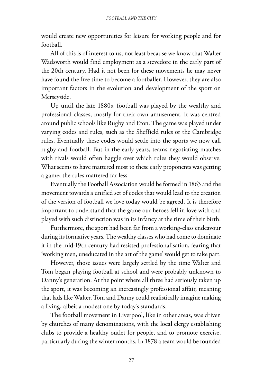would create new opportunities for leisure for working people and for football.

All of this is of interest to us, not least because we know that Walter Wadsworth would find employment as a stevedore in the early part of the 20th century. Had it not been for these movements he may never have found the free time to become a footballer. However, they are also important factors in the evolution and development of the sport on Merseyside.

Up until the late 1880s, football was played by the wealthy and professional classes, mostly for their own amusement. It was centred around public schools like Rugby and Eton. The game was played under varying codes and rules, such as the Sheffield rules or the Cambridge rules. Eventually these codes would settle into the sports we now call rugby and football. But in the early years, teams negotiating matches with rivals would often haggle over which rules they would observe. What seems to have mattered most to these early proponents was getting a game; the rules mattered far less.

Eventually the Football Association would be formed in 1863 and the movement towards a unified set of codes that would lead to the creation of the version of football we love today would be agreed. It is therefore important to understand that the game our heroes fell in love with and played with such distinction was in its infancy at the time of their birth.

Furthermore, the sport had been far from a working-class endeavour during its formative years. The wealthy classes who had come to dominate it in the mid-19th century had resisted professionalisation, fearing that 'working men, uneducated in the art of the game' would get to take part.

However, those issues were largely settled by the time Walter and Tom began playing football at school and were probably unknown to Danny's generation. At the point where all three had seriously taken up the sport, it was becoming an increasingly professional affair, meaning that lads like Walter, Tom and Danny could realistically imagine making a living, albeit a modest one by today's standards.

The football movement in Liverpool, like in other areas, was driven by churches of many denominations, with the local clergy establishing clubs to provide a healthy outlet for people, and to promote exercise, particularly during the winter months. In 1878 a team would be founded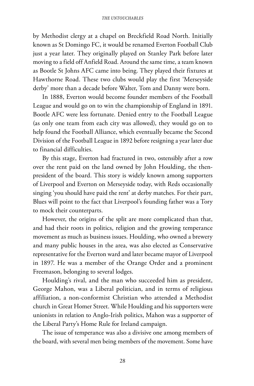by Methodist clergy at a chapel on Breckfield Road North. Initially known as St Domingo FC, it would be renamed Everton Football Club just a year later. They originally played on Stanley Park before later moving to a field off Anfield Road. Around the same time, a team known as Bootle St Johns AFC came into being. They played their fixtures at Hawthorne Road. These two clubs would play the first 'Merseyside derby' more than a decade before Walter, Tom and Danny were born.

In 1888, Everton would become founder members of the Football League and would go on to win the championship of England in 1891. Bootle AFC were less fortunate. Denied entry to the Football League (as only one team from each city was allowed), they would go on to help found the Football Alliance, which eventually became the Second Division of the Football League in 1892 before resigning a year later due to financial difficulties.

By this stage, Everton had fractured in two, ostensibly after a row over the rent paid on the land owned by John Houlding, the thenpresident of the board. This story is widely known among supporters of Liverpool and Everton on Merseyside today, with Reds occasionally singing 'you should have paid the rent' at derby matches. For their part, Blues will point to the fact that Liverpool's founding father was a Tory to mock their counterparts.

However, the origins of the split are more complicated than that, and had their roots in politics, religion and the growing temperance movement as much as business issues. Houlding, who owned a brewery and many public houses in the area, was also elected as Conservative representative for the Everton ward and later became mayor of Liverpool in 1897. He was a member of the Orange Order and a prominent Freemason, belonging to several lodges.

Houlding's rival, and the man who succeeded him as president, George Mahon, was a Liberal politician, and in terms of religious affiliation, a non-conformist Christian who attended a Methodist church in Great Homer Street. While Houlding and his supporters were unionists in relation to Anglo-Irish politics, Mahon was a supporter of the Liberal Party's Home Rule for Ireland campaign.

The issue of temperance was also a divisive one among members of the board, with several men being members of the movement. Some have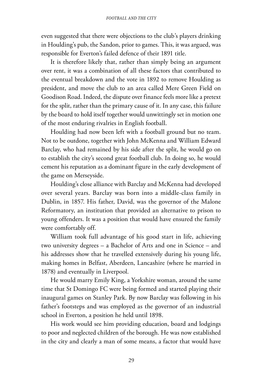even suggested that there were objections to the club's players drinking in Houlding's pub, the Sandon, prior to games. This, it was argued, was responsible for Everton's failed defence of their 1891 title.

It is therefore likely that, rather than simply being an argument over rent, it was a combination of all these factors that contributed to the eventual breakdown and the vote in 1892 to remove Houlding as president, and move the club to an area called Mere Green Field on Goodison Road. Indeed, the dispute over finance feels more like a pretext for the split, rather than the primary cause of it. In any case, this failure by the board to hold itself together would unwittingly set in motion one of the most enduring rivalries in English football.

Houlding had now been left with a football ground but no team. Not to be outdone, together with John McKenna and William Edward Barclay, who had remained by his side after the split, he would go on to establish the city's second great football club. In doing so, he would cement his reputation as a dominant figure in the early development of the game on Merseyside.

Houlding's close alliance with Barclay and McKenna had developed over several years. Barclay was born into a middle-class family in Dublin, in 1857. His father, David, was the governor of the Malone Reformatory, an institution that provided an alternative to prison to young offenders. It was a position that would have ensured the family were comfortably off.

William took full advantage of his good start in life, achieving two university degrees – a Bachelor of Arts and one in Science – and his addresses show that he travelled extensively during his young life, making homes in Belfast, Aberdeen, Lancashire (where he married in 1878) and eventually in Liverpool.

He would marry Emily King, a Yorkshire woman, around the same time that St Domingo FC were being formed and started playing their inaugural games on Stanley Park. By now Barclay was following in his father's footsteps and was employed as the governor of an industrial school in Everton, a position he held until 1898.

His work would see him providing education, board and lodgings to poor and neglected children of the borough. He was now established in the city and clearly a man of some means, a factor that would have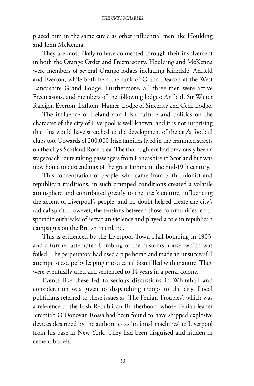placed him in the same circle as other influential men like Houlding and John McKenna.

They are most likely to have connected through their involvement in both the Orange Order and Freemasonry. Houlding and McKenna were members of several Orange lodges including Kirkdale, Anfield and Everton, while both held the rank of Grand Deacon at the West Lancashire Grand Lodge. Furthermore, all three men were active Freemasons, and members of the following lodges: Anfield, Sir Walter Raleigh, Everton, Lathom, Hamer, Lodge of Sincerity and Cecil Lodge.

The influence of Ireland and Irish culture and politics on the character of the city of Liverpool is well known, and it is not surprising that this would have stretched to the development of the city's football clubs too. Upwards of 200,000 Irish families lived in the crammed streets on the city's Scotland Road area. The thoroughfare had previously been a stagecoach route taking passengers from Lancashire to Scotland but was now home to descendants of the great famine in the mid-19th century.

This concentration of people, who came from both unionist and republican traditions, in such cramped conditions created a volatile atmosphere and contributed greatly to the area's culture, influencing the accent of Liverpool's people, and no doubt helped create the city's radical spirit. However, the tensions between those communities led to sporadic outbreaks of sectarian violence and played a role in republican campaigns on the British mainland.

This is evidenced by the Liverpool Town Hall bombing in 1903, and a further attempted bombing of the customs house, which was foiled. The perpetrators had used a pipe bomb and made an unsuccessful attempt to escape by leaping into a canal boat filled with manure. They were eventually tried and sentenced to 14 years in a penal colony.

Events like these led to serious discussions in Whitehall and consideration was given to dispatching troops to the city. Local politicians referred to these issues as 'The Fenian Troubles', which was a reference to the Irish Republican Brotherhood, whose Fenian leader Jeremiah O'Donovan Rossa had been found to have shipped explosive devices described by the authorities as 'infernal machines' to Liverpool from his base in New York. They had been disguised and hidden in cement barrels.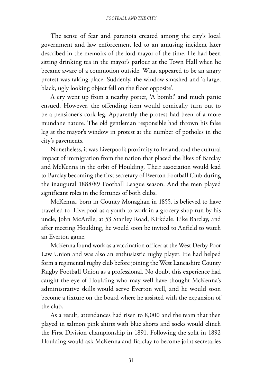The sense of fear and paranoia created among the city's local government and law enforcement led to an amusing incident later described in the memoirs of the lord mayor of the time. He had been sitting drinking tea in the mayor's parlour at the Town Hall when he became aware of a commotion outside. What appeared to be an angry protest was taking place. Suddenly, the window smashed and 'a large, black, ugly looking object fell on the floor opposite'.

A cry went up from a nearby porter, 'A bomb!' and much panic ensued. However, the offending item would comically turn out to be a pensioner's cork leg. Apparently the protest had been of a more mundane nature. The old gentleman responsible had thrown his false leg at the mayor's window in protest at the number of potholes in the city's pavements.

Nonetheless, it was Liverpool's proximity to Ireland, and the cultural impact of immigration from the nation that placed the likes of Barclay and McKenna in the orbit of Houlding. Their association would lead to Barclay becoming the first secretary of Everton Football Club during the inaugural 1888/89 Football League season. And the men played significant roles in the fortunes of both clubs.

McKenna, born in County Monaghan in 1855, is believed to have travelled to Liverpool as a youth to work in a grocery shop run by his uncle, John McArdle, at 53 Stanley Road, Kirkdale. Like Barclay, and after meeting Houlding, he would soon be invited to Anfield to watch an Everton game.

McKenna found work as a vaccination officer at the West Derby Poor Law Union and was also an enthusiastic rugby player. He had helped form a regimental rugby club before joining the West Lancashire County Rugby Football Union as a professional. No doubt this experience had caught the eye of Houlding who may well have thought McKenna's administrative skills would serve Everton well, and he would soon become a fixture on the board where he assisted with the expansion of the club.

As a result, attendances had risen to 8,000 and the team that then played in salmon pink shirts with blue shorts and socks would clinch the First Division championship in 1891. Following the split in 1892 Houlding would ask McKenna and Barclay to become joint secretaries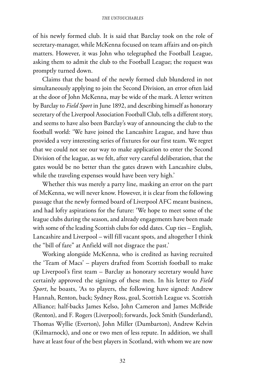of his newly formed club. It is said that Barclay took on the role of secretary-manager, while McKenna focused on team affairs and on-pitch matters. However, it was John who telegraphed the Football League, asking them to admit the club to the Football League; the request was promptly turned down.

Claims that the board of the newly formed club blundered in not simultaneously applying to join the Second Division, an error often laid at the door of John McKenna, may be wide of the mark. A letter written by Barclay to *Field Sport* in June 1892, and describing himself as honorary secretary of the Liverpool Association Football Club, tells a different story, and seems to have also been Barclay's way of announcing the club to the football world: 'We have joined the Lancashire League, and have thus provided a very interesting series of fixtures for our first team. We regret that we could not see our way to make application to enter the Second Division of the league, as we felt, after very careful deliberation, that the gates would be no better than the gates drawn with Lancashire clubs, while the traveling expenses would have been very high.'

Whether this was merely a party line, masking an error on the part of McKenna, we will never know. However, it is clear from the following passage that the newly formed board of Liverpool AFC meant business, and had lofty aspirations for the future: 'We hope to meet some of the league clubs during the season, and already engagements have been made with some of the leading Scottish clubs for odd dates. Cup ties – English, Lancashire and Liverpool – will fill vacant spots, and altogether I think the "bill of fare" at Anfield will not disgrace the past.'

Working alongside McKenna, who is credited as having recruited the 'Team of Macs' – players drafted from Scottish football to make up Liverpool's first team – Barclay as honorary secretary would have certainly approved the signings of these men. In his letter to *Field Sport*, he boasts, 'As to players, the following have signed: Andrew Hannah, Renton, back; Sydney Ross, goal, Scottish League vs. Scottish Alliance; half-backs James Kelso, John Cameron and James McBride (Renton), and F. Rogers (Liverpool); forwards, Jock Smith (Sunderland), Thomas Wyllie (Everton), John Miller (Dumbarton), Andrew Kelvin (Kilmarnock), and one or two men of less repute. In addition, we shall have at least four of the best players in Scotland, with whom we are now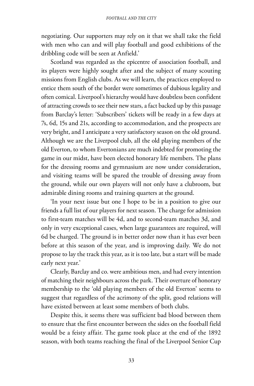negotiating. Our supporters may rely on it that we shall take the field with men who can and will play football and good exhibitions of the dribbling code will be seen at Anfield.'

Scotland was regarded as the epicentre of association football, and its players were highly sought after and the subject of many scouting missions from English clubs. As we will learn, the practices employed to entice them south of the border were sometimes of dubious legality and often comical. Liverpool's hierarchy would have doubtless been confident of attracting crowds to see their new stars, a fact backed up by this passage from Barclay's letter: 'Subscribers' tickets will be ready in a few days at 7s, 6d, 15s and 21s, according to accommodation, and the prospects are very bright, and I anticipate a very satisfactory season on the old ground. Although we are the Liverpool club, all the old playing members of the old Everton, to whom Evertonians are much indebted for promoting the game in our midst, have been elected honorary life members. The plans for the dressing rooms and gymnasium are now under consideration, and visiting teams will be spared the trouble of dressing away from the ground, while our own players will not only have a clubroom, but admirable dining rooms and training quarters at the ground.

'In your next issue but one I hope to be in a position to give our friends a full list of our players for next season. The charge for admission to first-team matches will be 4d, and to second-team matches 3d, and only in very exceptional cases, when large guarantees are required, will 6d be charged. The ground is in better order now than it has ever been before at this season of the year, and is improving daily. We do not propose to lay the track this year, as it is too late, but a start will be made early next year.'

Clearly, Barclay and co. were ambitious men, and had every intention of matching their neighbours across the park. Their overture of honorary membership to the 'old playing members of the old Everton' seems to suggest that regardless of the acrimony of the split, good relations will have existed between at least some members of both clubs.

Despite this, it seems there was sufficient bad blood between them to ensure that the first encounter between the sides on the football field would be a feisty affair. The game took place at the end of the 1892 season, with both teams reaching the final of the Liverpool Senior Cup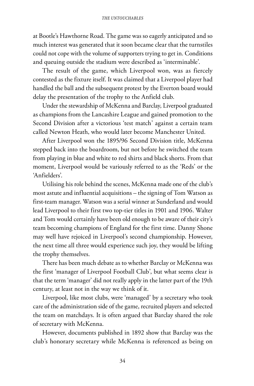at Bootle's Hawthorne Road. The game was so eagerly anticipated and so much interest was generated that it soon became clear that the turnstiles could not cope with the volume of supporters trying to get in. Conditions and queuing outside the stadium were described as 'interminable'.

The result of the game, which Liverpool won, was as fiercely contested as the fixture itself. It was claimed that a Liverpool player had handled the ball and the subsequent protest by the Everton board would delay the presentation of the trophy to the Anfield club.

Under the stewardship of McKenna and Barclay, Liverpool graduated as champions from the Lancashire League and gained promotion to the Second Division after a victorious 'test match' against a certain team called Newton Heath, who would later become Manchester United.

After Liverpool won the 1895/96 Second Division title, McKenna stepped back into the boardroom, but not before he switched the team from playing in blue and white to red shirts and black shorts. From that moment, Liverpool would be variously referred to as the 'Reds' or the 'Anfielders'.

Utilising his role behind the scenes, McKenna made one of the club's most astute and influential acquisitions – the signing of Tom Watson as first-team manager. Watson was a serial winner at Sunderland and would lead Liverpool to their first two top-tier titles in 1901 and 1906. Walter and Tom would certainly have been old enough to be aware of their city's team becoming champions of England for the first time. Danny Shone may well have rejoiced in Liverpool's second championship. However, the next time all three would experience such joy, they would be lifting the trophy themselves.

There has been much debate as to whether Barclay or McKenna was the first 'manager of Liverpool Football Club', but what seems clear is that the term 'manager' did not really apply in the latter part of the 19th century, at least not in the way we think of it.

Liverpool, like most clubs, were 'managed' by a secretary who took care of the administration side of the game, recruited players and selected the team on matchdays. It is often argued that Barclay shared the role of secretary with McKenna.

However, documents published in 1892 show that Barclay was the club's honorary secretary while McKenna is referenced as being on